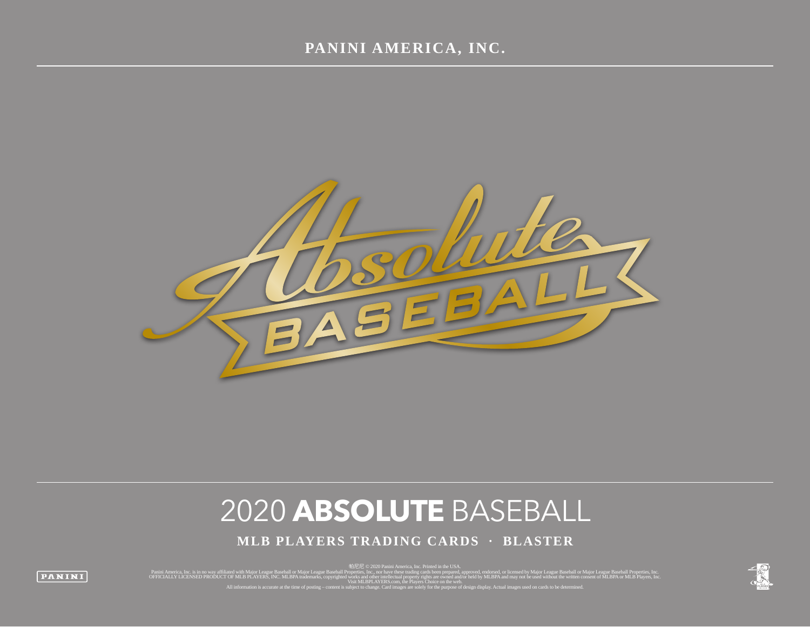

# 2020 **ABSOLUTE** BASEBALL

**MLB PLAYERS TRADING CARDS · BLASTER**

panini America, Inc. is in no way affiliated with Major League Baseball or Major League Baseball or Major League Baseball or Major League Baseball or Major League Baseball Properties, Inc. [1] [1] [1] [1] [1] [1] [1] [1]

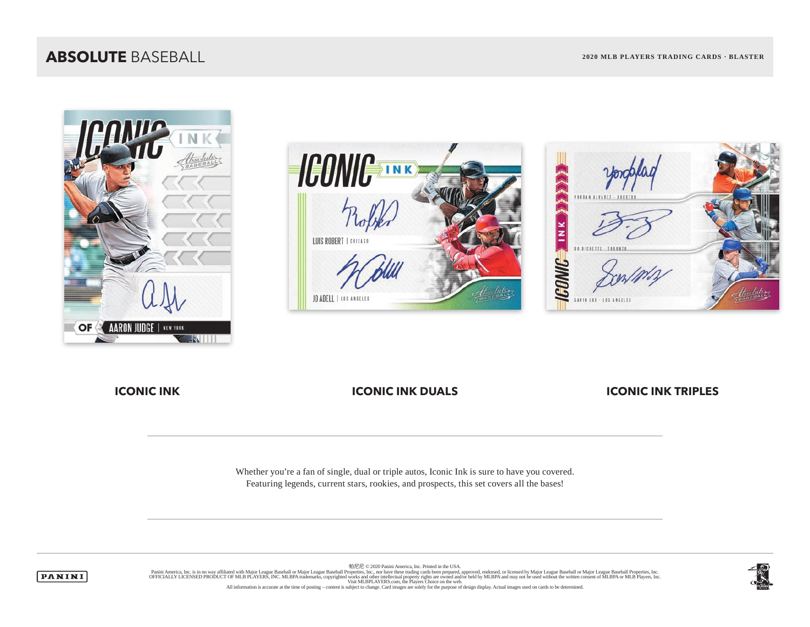### **ABSOLUTE** BASEBALL **2020 MLB PLAYERS TRADING CARDS · BLASTER**







**ICONIC INK ICONIC INK DUALS** ICONIC INK TRIPLES

Whether you're a fan of single, dual or triple autos, Iconic Ink is sure to have you covered. Featuring legends, current stars, rookies, and prospects, this set covers all the bases!



帕尼尼 © 2020 Panini America, Inc. Printed in the USA. Panini America, Inc. is in no way affiliated with Major League Baseball or Major League Baseball Properties, Inc. Journal of Major League Baseball Properties, Inc. Decise in the United States Inc. We are trading cards been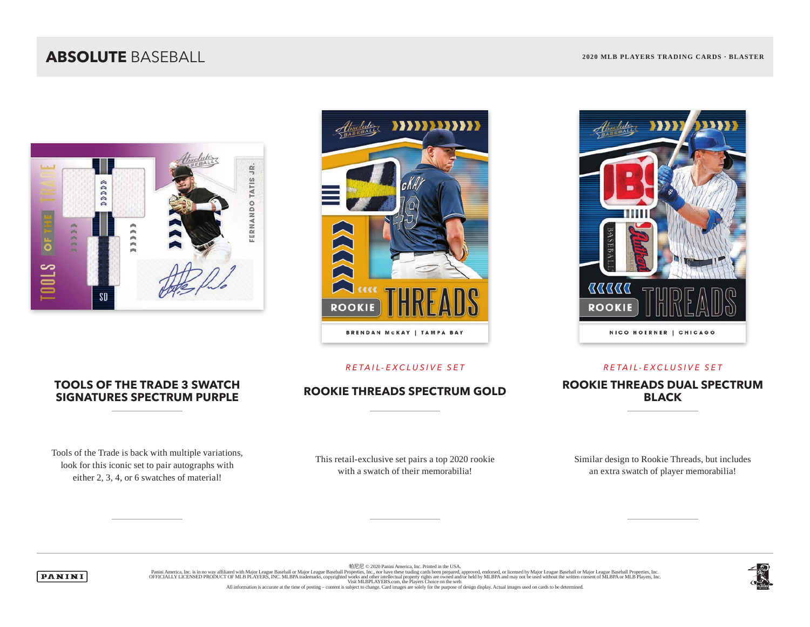## **ABSOLUTE** BASEBALL **2020 MLB PLAYERS TRADING CARDS · BLASTER**







### *RETAIL-EXCLUSIVE SET RETAIL-EXCLUSIVE SET*

## ROOKIE THREADS SPECTRUM GOLD<br>**ROOKIE THREADS SPECTRUM GOLD**

# **TOOLS OF THE TRADE 3 SWATCH**

Tools of the Trade is back with multiple variations, look for this iconic set to pair autographs with either 2, 3, 4, or 6 swatches of material!

This retail-exclusive set pairs a top 2020 rookie with a swatch of their memorabilia!

Similar design to Rookie Threads, but includes an extra swatch of player memorabilia!

**BLACK**

帕尼尼 © 2020 Panini America, Inc. Printed in the USA.



Panini America, Inc. is in no way affiliated with Major League Baseball or Major League Baseball Properties, Inc. Journal of Major League Baseball Properties, Inc. Decise in the United States Inc. We are trading cards been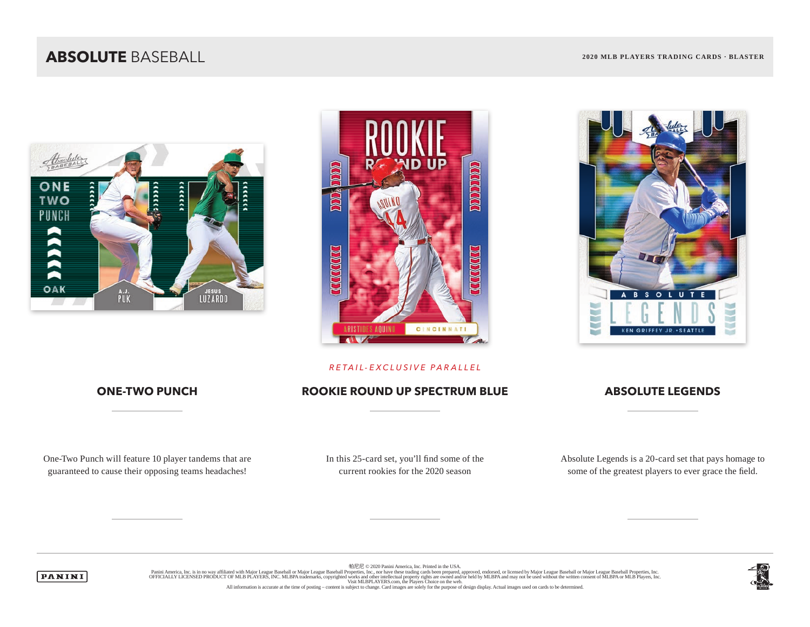### **ABSOLUTE** BASEBALL **2020 MLB PLAYERS TRADING CARDS · BLASTER**





## $\mathbf{s}$  $\circ$  $\mathbf{u}$ R × **Seat CONTRACT Indi KEN GRIFFEY JR. . SEATTLE**

### *RETAIL-EXCLUSIVE PARALLEL*

### **ONE-TWO PUNCH ROOKIE ROUND UP SPECTRUM BLUE ABSOLUTE LEGENDS**

One-Two Punch will feature 10 player tandems that are guaranteed to cause their opposing teams headaches!

In this 25-card set, you'll find some of the current rookies for the 2020 season

Absolute Legends is a 20-card set that pays homage to some of the greatest players to ever grace the field.



帕尼尼 © 2020 Panini America, Inc. Printed in the USA. Panini America, Inc. is in no way affiliated with Major League Baseball or Major League Baseball Properties, Inc. Journal of Major League Baseball Properties, Inc. Decise in the United States Inc. We are trading cards been